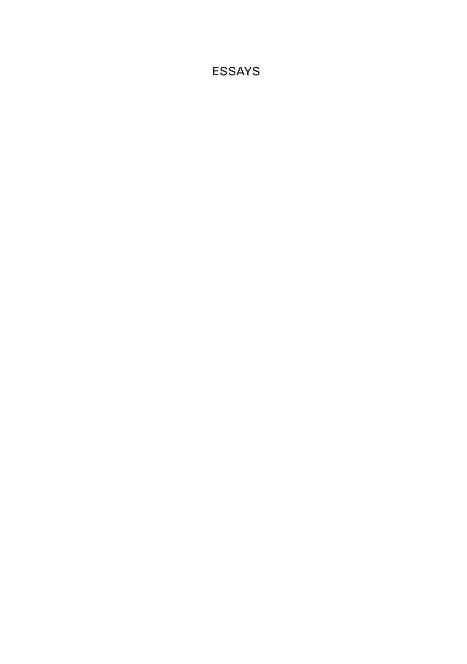ESSAYS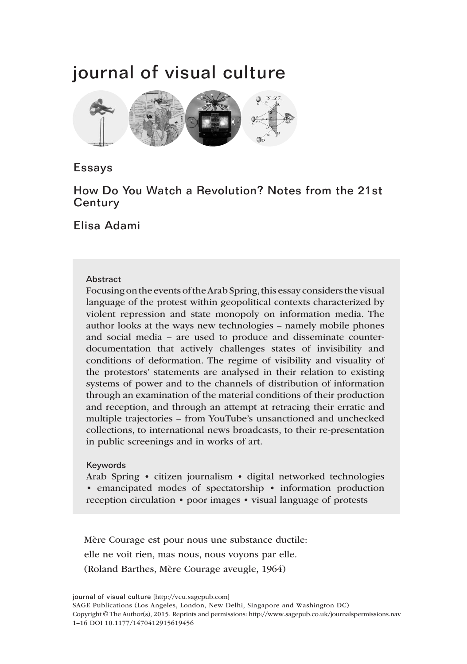# journal of visual culture



## Essays

# How Do You Watch a Revolution? Notes from the 21st **Century**

Elisa Adami

#### **Abstract**

Focusing on the events of the Arab Spring, this essay considers the visual language of the protest within geopolitical contexts characterized by violent repression and state monopoly on information media. The author looks at the ways new technologies – namely mobile phones and social media – are used to produce and disseminate counterdocumentation that actively challenges states of invisibility and conditions of deformation. The regime of visibility and visuality of the protestors' statements are analysed in their relation to existing systems of power and to the channels of distribution of information through an examination of the material conditions of their production and reception, and through an attempt at retracing their erratic and multiple trajectories – from YouTube's unsanctioned and unchecked collections, to international news broadcasts, to their re-presentation in public screenings and in works of art.

#### Keywords

Arab Spring • citizen journalism • digital networked technologies • emancipated modes of spectatorship • information production reception circulation • poor images • visual language of protests

Mère Courage est pour nous une substance ductile: elle ne voit rien, mas nous, nous voyons par elle. (Roland Barthes, Mère Courage aveugle, 1964)

journal of visual culture [http://vcu.sagepub.com] SAGE Publications (Los Angeles, London, New Delhi, Singapore and Washington DC) Copyright © The Author(s), 2015. Reprints and permissions: http://www.sagepub.co.uk/journalspermissions.nav 1–16 DOI 10.1177/1470412915619456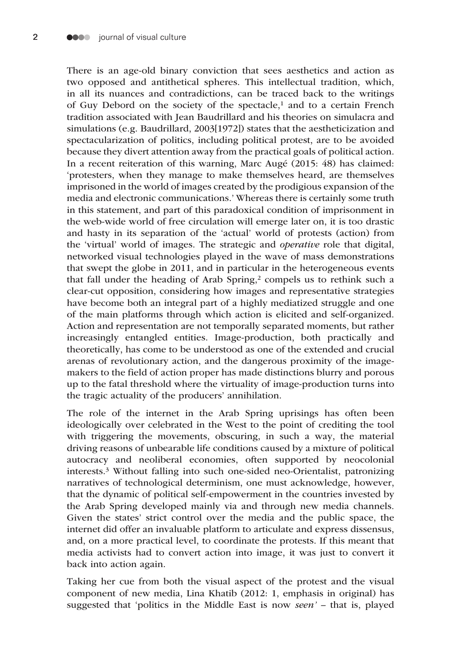There is an age-old binary conviction that sees aesthetics and action as two opposed and antithetical spheres. This intellectual tradition, which, in all its nuances and contradictions, can be traced back to the writings of Guy Debord on the society of the spectacle, $<sup>1</sup>$  and to a certain French</sup> tradition associated with Jean Baudrillard and his theories on simulacra and simulations (e.g. Baudrillard, 2003[1972]) states that the aestheticization and spectacularization of politics, including political protest, are to be avoided because they divert attention away from the practical goals of political action. In a recent reiteration of this warning, Marc Augé (2015: 48) has claimed: 'protesters, when they manage to make themselves heard, are themselves imprisoned in the world of images created by the prodigious expansion of the media and electronic communications.' Whereas there is certainly some truth in this statement, and part of this paradoxical condition of imprisonment in the web-wide world of free circulation will emerge later on, it is too drastic and hasty in its separation of the 'actual' world of protests (action) from the 'virtual' world of images. The strategic and *operative* role that digital, networked visual technologies played in the wave of mass demonstrations that swept the globe in 2011, and in particular in the heterogeneous events that fall under the heading of Arab Spring,<sup>2</sup> compels us to rethink such a clear-cut opposition, considering how images and representative strategies have become both an integral part of a highly mediatized struggle and one of the main platforms through which action is elicited and self-organized. Action and representation are not temporally separated moments, but rather increasingly entangled entities. Image-production, both practically and theoretically, has come to be understood as one of the extended and crucial arenas of revolutionary action, and the dangerous proximity of the imagemakers to the field of action proper has made distinctions blurry and porous up to the fatal threshold where the virtuality of image-production turns into the tragic actuality of the producers' annihilation.

The role of the internet in the Arab Spring uprisings has often been ideologically over celebrated in the West to the point of crediting the tool with triggering the movements, obscuring, in such a way, the material driving reasons of unbearable life conditions caused by a mixture of political autocracy and neoliberal economies, often supported by neocolonial interests.3 Without falling into such one-sided neo-Orientalist, patronizing narratives of technological determinism, one must acknowledge, however, that the dynamic of political self-empowerment in the countries invested by the Arab Spring developed mainly via and through new media channels. Given the states' strict control over the media and the public space, the internet did offer an invaluable platform to articulate and express dissensus, and, on a more practical level, to coordinate the protests. If this meant that media activists had to convert action into image, it was just to convert it back into action again.

Taking her cue from both the visual aspect of the protest and the visual component of new media, Lina Khatib (2012: 1, emphasis in original) has suggested that 'politics in the Middle East is now *seen'* – that is, played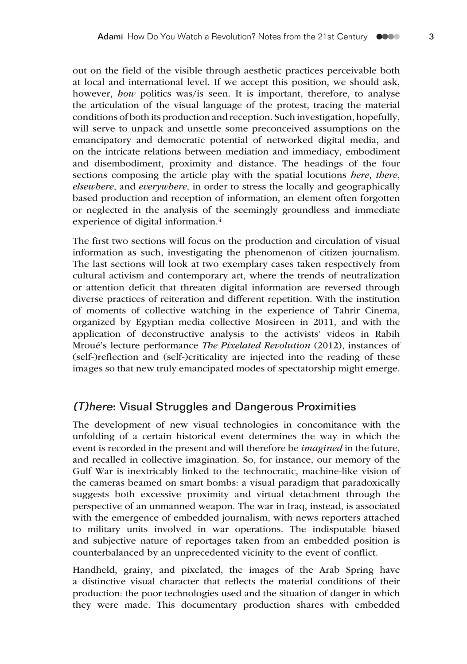out on the field of the visible through aesthetic practices perceivable both at local and international level. If we accept this position, we should ask, however, *how* politics was/is seen. It is important, therefore, to analyse the articulation of the visual language of the protest, tracing the material conditions of both its production and reception. Such investigation, hopefully, will serve to unpack and unsettle some preconceived assumptions on the emancipatory and democratic potential of networked digital media, and on the intricate relations between mediation and immediacy, embodiment and disembodiment, proximity and distance. The headings of the four sections composing the article play with the spatial locutions *here*, *there*, *elsewhere*, and *everywhere*, in order to stress the locally and geographically based production and reception of information, an element often forgotten or neglected in the analysis of the seemingly groundless and immediate experience of digital information.4

The first two sections will focus on the production and circulation of visual information as such, investigating the phenomenon of citizen journalism. The last sections will look at two exemplary cases taken respectively from cultural activism and contemporary art, where the trends of neutralization or attention deficit that threaten digital information are reversed through diverse practices of reiteration and different repetition. With the institution of moments of collective watching in the experience of Tahrir Cinema, organized by Egyptian media collective Mosireen in 2011, and with the application of deconstructive analysis to the activists' videos in Rabih Mroué's lecture performance *The Pixelated Revolution* (2012), instances of (self-)reflection and (self-)criticality are injected into the reading of these images so that new truly emancipated modes of spectatorship might emerge.

## (T)here: Visual Struggles and Dangerous Proximities

The development of new visual technologies in concomitance with the unfolding of a certain historical event determines the way in which the event is recorded in the present and will therefore be *imagined* in the future, and recalled in collective imagination. So, for instance, our memory of the Gulf War is inextricably linked to the technocratic, machine-like vision of the cameras beamed on smart bombs: a visual paradigm that paradoxically suggests both excessive proximity and virtual detachment through the perspective of an unmanned weapon. The war in Iraq, instead, is associated with the emergence of embedded journalism, with news reporters attached to military units involved in war operations. The indisputable biased and subjective nature of reportages taken from an embedded position is counterbalanced by an unprecedented vicinity to the event of conflict.

Handheld, grainy, and pixelated, the images of the Arab Spring have a distinctive visual character that reflects the material conditions of their production: the poor technologies used and the situation of danger in which they were made. This documentary production shares with embedded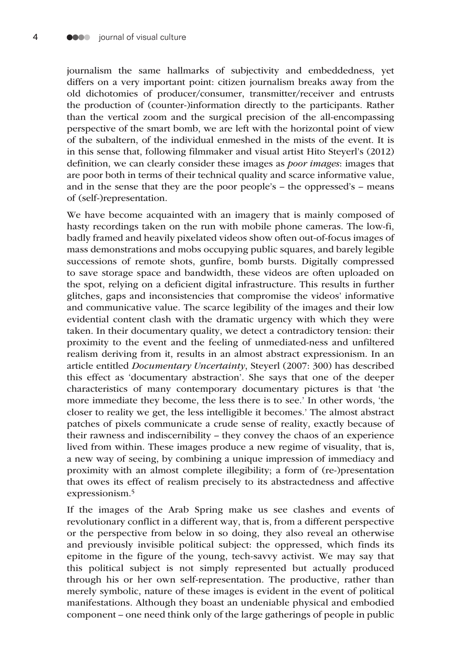journalism the same hallmarks of subjectivity and embeddedness, yet differs on a very important point: citizen journalism breaks away from the old dichotomies of producer/consumer, transmitter/receiver and entrusts the production of (counter-)information directly to the participants. Rather than the vertical zoom and the surgical precision of the all-encompassing perspective of the smart bomb, we are left with the horizontal point of view of the subaltern, of the individual enmeshed in the mists of the event. It is in this sense that, following filmmaker and visual artist Hito Steyerl's (2012) definition, we can clearly consider these images as *poor images*: images that are poor both in terms of their technical quality and scarce informative value, and in the sense that they are the poor people's – the oppressed's – means of (self-)representation.

We have become acquainted with an imagery that is mainly composed of hasty recordings taken on the run with mobile phone cameras. The low-fi, badly framed and heavily pixelated videos show often out-of-focus images of mass demonstrations and mobs occupying public squares, and barely legible successions of remote shots, gunfire, bomb bursts. Digitally compressed to save storage space and bandwidth, these videos are often uploaded on the spot, relying on a deficient digital infrastructure. This results in further glitches, gaps and inconsistencies that compromise the videos' informative and communicative value. The scarce legibility of the images and their low evidential content clash with the dramatic urgency with which they were taken. In their documentary quality, we detect a contradictory tension: their proximity to the event and the feeling of unmediated-ness and unfiltered realism deriving from it, results in an almost abstract expressionism. In an article entitled *Documentary Uncertainty*, Steyerl (2007: 300) has described this effect as 'documentary abstraction'. She says that one of the deeper characteristics of many contemporary documentary pictures is that 'the more immediate they become, the less there is to see.' In other words, 'the closer to reality we get, the less intelligible it becomes.' The almost abstract patches of pixels communicate a crude sense of reality, exactly because of their rawness and indiscernibility – they convey the chaos of an experience lived from within. These images produce a new regime of visuality, that is, a new way of seeing, by combining a unique impression of immediacy and proximity with an almost complete illegibility; a form of (re-)presentation that owes its effect of realism precisely to its abstractedness and affective expressionism.5

If the images of the Arab Spring make us see clashes and events of revolutionary conflict in a different way, that is, from a different perspective or the perspective from below in so doing, they also reveal an otherwise and previously invisible political subject: the oppressed, which finds its epitome in the figure of the young, tech-savvy activist. We may say that this political subject is not simply represented but actually produced through his or her own self-representation. The productive, rather than merely symbolic, nature of these images is evident in the event of political manifestations. Although they boast an undeniable physical and embodied component – one need think only of the large gatherings of people in public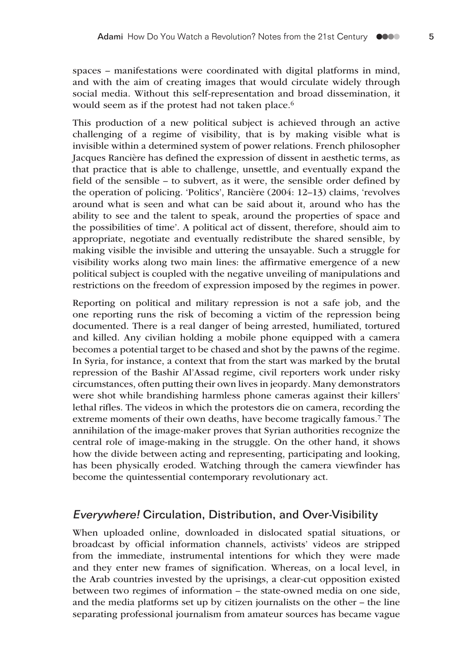spaces – manifestations were coordinated with digital platforms in mind, and with the aim of creating images that would circulate widely through social media. Without this self-representation and broad dissemination, it would seem as if the protest had not taken place.<sup>6</sup>

This production of a new political subject is achieved through an active challenging of a regime of visibility, that is by making visible what is invisible within a determined system of power relations. French philosopher Jacques Rancière has defined the expression of dissent in aesthetic terms, as that practice that is able to challenge, unsettle, and eventually expand the field of the sensible – to subvert, as it were, the sensible order defined by the operation of policing. 'Politics', Rancière (2004: 12–13) claims, 'revolves around what is seen and what can be said about it, around who has the ability to see and the talent to speak, around the properties of space and the possibilities of time'. A political act of dissent, therefore, should aim to appropriate, negotiate and eventually redistribute the shared sensible, by making visible the invisible and uttering the unsayable. Such a struggle for visibility works along two main lines: the affirmative emergence of a new political subject is coupled with the negative unveiling of manipulations and restrictions on the freedom of expression imposed by the regimes in power.

Reporting on political and military repression is not a safe job, and the one reporting runs the risk of becoming a victim of the repression being documented. There is a real danger of being arrested, humiliated, tortured and killed. Any civilian holding a mobile phone equipped with a camera becomes a potential target to be chased and shot by the pawns of the regime. In Syria, for instance, a context that from the start was marked by the brutal repression of the Bashir Al'Assad regime, civil reporters work under risky circumstances, often putting their own lives in jeopardy. Many demonstrators were shot while brandishing harmless phone cameras against their killers' lethal rifles. The videos in which the protestors die on camera, recording the extreme moments of their own deaths, have become tragically famous.7 The annihilation of the image-maker proves that Syrian authorities recognize the central role of image-making in the struggle. On the other hand, it shows how the divide between acting and representing, participating and looking, has been physically eroded. Watching through the camera viewfinder has become the quintessential contemporary revolutionary act.

### Everywhere! Circulation, Distribution, and Over-Visibility

When uploaded online, downloaded in dislocated spatial situations, or broadcast by official information channels, activists' videos are stripped from the immediate, instrumental intentions for which they were made and they enter new frames of signification. Whereas, on a local level, in the Arab countries invested by the uprisings, a clear-cut opposition existed between two regimes of information – the state-owned media on one side, and the media platforms set up by citizen journalists on the other – the line separating professional journalism from amateur sources has became vague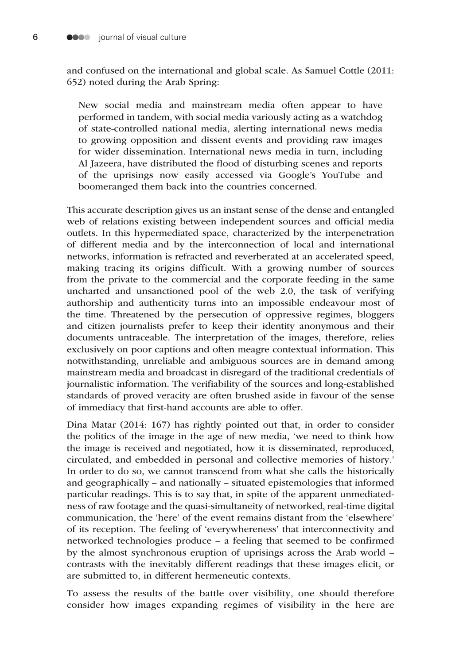and confused on the international and global scale. As Samuel Cottle (2011: 652) noted during the Arab Spring:

New social media and mainstream media often appear to have performed in tandem, with social media variously acting as a watchdog of state-controlled national media, alerting international news media to growing opposition and dissent events and providing raw images for wider dissemination. International news media in turn, including Al Jazeera, have distributed the flood of disturbing scenes and reports of the uprisings now easily accessed via Google's YouTube and boomeranged them back into the countries concerned.

This accurate description gives us an instant sense of the dense and entangled web of relations existing between independent sources and official media outlets. In this hypermediated space, characterized by the interpenetration of different media and by the interconnection of local and international networks, information is refracted and reverberated at an accelerated speed, making tracing its origins difficult. With a growing number of sources from the private to the commercial and the corporate feeding in the same uncharted and unsanctioned pool of the web 2.0, the task of verifying authorship and authenticity turns into an impossible endeavour most of the time. Threatened by the persecution of oppressive regimes, bloggers and citizen journalists prefer to keep their identity anonymous and their documents untraceable. The interpretation of the images, therefore, relies exclusively on poor captions and often meagre contextual information. This notwithstanding, unreliable and ambiguous sources are in demand among mainstream media and broadcast in disregard of the traditional credentials of journalistic information. The verifiability of the sources and long-established standards of proved veracity are often brushed aside in favour of the sense of immediacy that first-hand accounts are able to offer.

Dina Matar (2014: 167) has rightly pointed out that, in order to consider the politics of the image in the age of new media, 'we need to think how the image is received and negotiated, how it is disseminated, reproduced, circulated, and embedded in personal and collective memories of history.' In order to do so, we cannot transcend from what she calls the historically and geographically – and nationally – situated epistemologies that informed particular readings. This is to say that, in spite of the apparent unmediatedness of raw footage and the quasi-simultaneity of networked, real-time digital communication, the 'here' of the event remains distant from the 'elsewhere' of its reception. The feeling of 'everywhereness' that interconnectivity and networked technologies produce – a feeling that seemed to be confirmed by the almost synchronous eruption of uprisings across the Arab world – contrasts with the inevitably different readings that these images elicit, or are submitted to, in different hermeneutic contexts.

To assess the results of the battle over visibility, one should therefore consider how images expanding regimes of visibility in the here are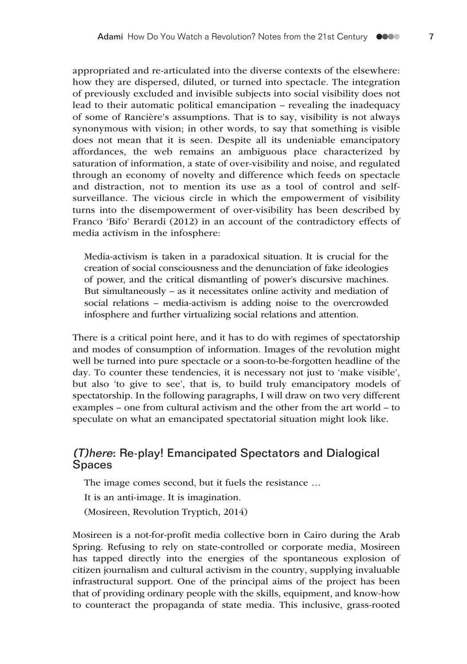appropriated and re-articulated into the diverse contexts of the elsewhere: how they are dispersed, diluted, or turned into spectacle. The integration of previously excluded and invisible subjects into social visibility does not lead to their automatic political emancipation – revealing the inadequacy of some of Rancière's assumptions. That is to say, visibility is not always synonymous with vision; in other words, to say that something is visible does not mean that it is seen. Despite all its undeniable emancipatory affordances, the web remains an ambiguous place characterized by saturation of information, a state of over-visibility and noise, and regulated through an economy of novelty and difference which feeds on spectacle and distraction, not to mention its use as a tool of control and selfsurveillance. The vicious circle in which the empowerment of visibility turns into the disempowerment of over-visibility has been described by Franco 'Bifo' Berardi (2012) in an account of the contradictory effects of media activism in the infosphere:

Media-activism is taken in a paradoxical situation. It is crucial for the creation of social consciousness and the denunciation of fake ideologies of power, and the critical dismantling of power's discursive machines. But simultaneously – as it necessitates online activity and mediation of social relations – media-activism is adding noise to the overcrowded infosphere and further virtualizing social relations and attention.

There is a critical point here, and it has to do with regimes of spectatorship and modes of consumption of information. Images of the revolution might well be turned into pure spectacle or a soon-to-be-forgotten headline of the day. To counter these tendencies, it is necessary not just to 'make visible', but also 'to give to see', that is, to build truly emancipatory models of spectatorship. In the following paragraphs, I will draw on two very different examples – one from cultural activism and the other from the art world – to speculate on what an emancipated spectatorial situation might look like.

# (T)here: Re-play! Emancipated Spectators and Dialogical Spaces

The image comes second, but it fuels the resistance …

It is an anti-image. It is imagination.

(Mosireen, Revolution Tryptich, 2014)

Mosireen is a not-for-profit media collective born in Cairo during the Arab Spring. Refusing to rely on state-controlled or corporate media, Mosireen has tapped directly into the energies of the spontaneous explosion of citizen journalism and cultural activism in the country, supplying invaluable infrastructural support. One of the principal aims of the project has been that of providing ordinary people with the skills, equipment, and know-how to counteract the propaganda of state media. This inclusive, grass-rooted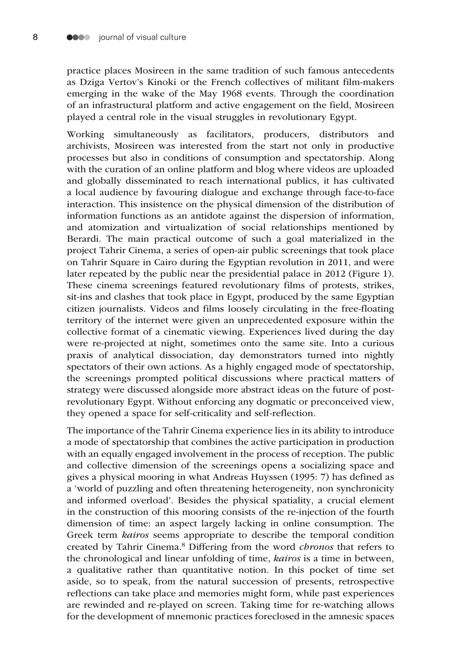practice places Mosireen in the same tradition of such famous antecedents as Dziga Vertov's Kinoki or the French collectives of militant film-makers emerging in the wake of the May 1968 events. Through the coordination of an infrastructural platform and active engagement on the field, Mosireen played a central role in the visual struggles in revolutionary Egypt.

Working simultaneously as facilitators, producers, distributors and archivists, Mosireen was interested from the start not only in productive processes but also in conditions of consumption and spectatorship. Along with the curation of an online platform and blog where videos are uploaded and globally disseminated to reach international publics, it has cultivated a local audience by favouring dialogue and exchange through face-to-face interaction. This insistence on the physical dimension of the distribution of information functions as an antidote against the dispersion of information, and atomization and virtualization of social relationships mentioned by Berardi. The main practical outcome of such a goal materialized in the project Tahrir Cinema, a series of open-air public screenings that took place on Tahrir Square in Cairo during the Egyptian revolution in 2011, and were later repeated by the public near the presidential palace in 2012 (Figure 1). These cinema screenings featured revolutionary films of protests, strikes, sit-ins and clashes that took place in Egypt, produced by the same Egyptian citizen journalists. Videos and films loosely circulating in the free-floating territory of the internet were given an unprecedented exposure within the collective format of a cinematic viewing. Experiences lived during the day were re-projected at night, sometimes onto the same site. Into a curious praxis of analytical dissociation, day demonstrators turned into nightly spectators of their own actions. As a highly engaged mode of spectatorship, the screenings prompted political discussions where practical matters of strategy were discussed alongside more abstract ideas on the future of postrevolutionary Egypt. Without enforcing any dogmatic or preconceived view, they opened a space for self-criticality and self-reflection.

The importance of the Tahrir Cinema experience lies in its ability to introduce a mode of spectatorship that combines the active participation in production with an equally engaged involvement in the process of reception. The public and collective dimension of the screenings opens a socializing space and gives a physical mooring in what Andreas Huyssen (1995: 7) has defined as a 'world of puzzling and often threatening heterogeneity, non synchronicity and informed overload'. Besides the physical spatiality, a crucial element in the construction of this mooring consists of the re-injection of the fourth dimension of time: an aspect largely lacking in online consumption. The Greek term *kairos* seems appropriate to describe the temporal condition created by Tahrir Cinema.8 Differing from the word *chronos* that refers to the chronological and linear unfolding of time, *kairos* is a time in between, a qualitative rather than quantitative notion. In this pocket of time set aside, so to speak, from the natural succession of presents, retrospective reflections can take place and memories might form, while past experiences are rewinded and re-played on screen. Taking time for re-watching allows for the development of mnemonic practices foreclosed in the amnesic spaces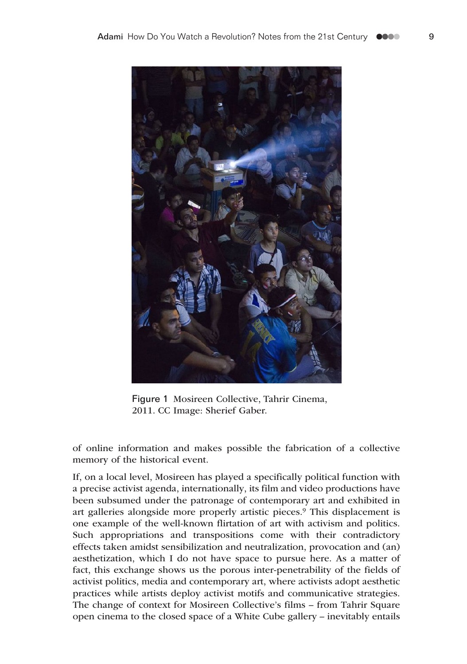

Figure 1 Mosireen Collective, Tahrir Cinema, 2011. CC Image: Sherief Gaber.

of online information and makes possible the fabrication of a collective memory of the historical event.

If, on a local level, Mosireen has played a specifically political function with a precise activist agenda, internationally, its film and video productions have been subsumed under the patronage of contemporary art and exhibited in art galleries alongside more properly artistic pieces.9 This displacement is one example of the well-known flirtation of art with activism and politics. Such appropriations and transpositions come with their contradictory effects taken amidst sensibilization and neutralization, provocation and (an) aesthetization, which I do not have space to pursue here. As a matter of fact, this exchange shows us the porous inter-penetrability of the fields of activist politics, media and contemporary art, where activists adopt aesthetic practices while artists deploy activist motifs and communicative strategies. The change of context for Mosireen Collective's films – from Tahrir Square open cinema to the closed space of a White Cube gallery – inevitably entails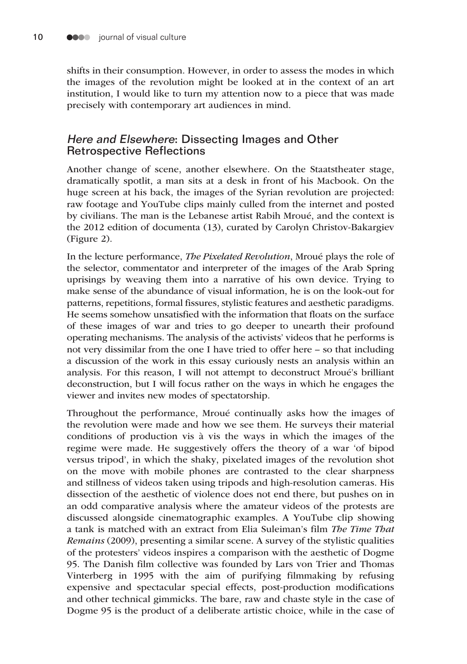shifts in their consumption. However, in order to assess the modes in which the images of the revolution might be looked at in the context of an art institution, I would like to turn my attention now to a piece that was made precisely with contemporary art audiences in mind.

## Here and Elsewhere: Dissecting Images and Other Retrospective Reflections

Another change of scene, another elsewhere. On the Staatstheater stage, dramatically spotlit, a man sits at a desk in front of his Macbook. On the huge screen at his back, the images of the Syrian revolution are projected: raw footage and YouTube clips mainly culled from the internet and posted by civilians. The man is the Lebanese artist Rabih Mroué, and the context is the 2012 edition of documenta (13), curated by Carolyn Christov-Bakargiev (Figure 2).

In the lecture performance, *The Pixelated Revolution*, Mroué plays the role of the selector, commentator and interpreter of the images of the Arab Spring uprisings by weaving them into a narrative of his own device. Trying to make sense of the abundance of visual information, he is on the look-out for patterns, repetitions, formal fissures, stylistic features and aesthetic paradigms. He seems somehow unsatisfied with the information that floats on the surface of these images of war and tries to go deeper to unearth their profound operating mechanisms. The analysis of the activists' videos that he performs is not very dissimilar from the one I have tried to offer here – so that including a discussion of the work in this essay curiously nests an analysis within an analysis. For this reason, I will not attempt to deconstruct Mroué's brilliant deconstruction, but I will focus rather on the ways in which he engages the viewer and invites new modes of spectatorship.

Throughout the performance, Mroué continually asks how the images of the revolution were made and how we see them. He surveys their material conditions of production vis à vis the ways in which the images of the regime were made. He suggestively offers the theory of a war 'of bipod versus tripod', in which the shaky, pixelated images of the revolution shot on the move with mobile phones are contrasted to the clear sharpness and stillness of videos taken using tripods and high-resolution cameras. His dissection of the aesthetic of violence does not end there, but pushes on in an odd comparative analysis where the amateur videos of the protests are discussed alongside cinematographic examples. A YouTube clip showing a tank is matched with an extract from Elia Suleiman's film *The Time That Remains* (2009), presenting a similar scene. A survey of the stylistic qualities of the protesters' videos inspires a comparison with the aesthetic of Dogme 95. The Danish film collective was founded by Lars von Trier and Thomas Vinterberg in 1995 with the aim of purifying filmmaking by refusing expensive and spectacular special effects, post-production modifications and other technical gimmicks. The bare, raw and chaste style in the case of Dogme 95 is the product of a deliberate artistic choice, while in the case of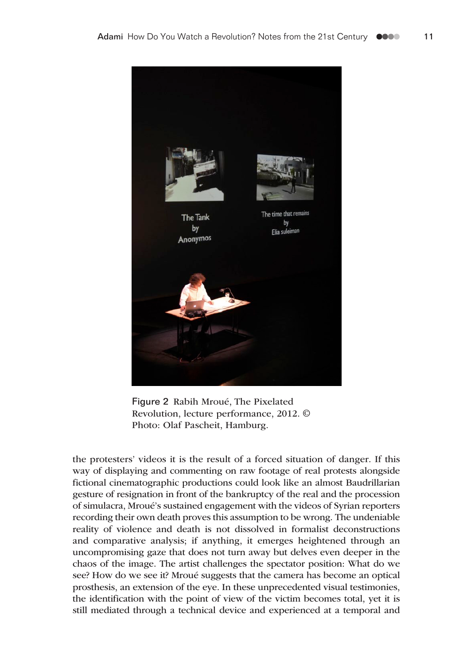

Figure 2 Rabih Mroué, The Pixelated Revolution, lecture performance, 2012. © Photo: Olaf Pascheit, Hamburg.

the protesters' videos it is the result of a forced situation of danger. If this way of displaying and commenting on raw footage of real protests alongside fictional cinematographic productions could look like an almost Baudrillarian gesture of resignation in front of the bankruptcy of the real and the procession of simulacra, Mroué's sustained engagement with the videos of Syrian reporters recording their own death proves this assumption to be wrong. The undeniable reality of violence and death is not dissolved in formalist deconstructions and comparative analysis; if anything, it emerges heightened through an uncompromising gaze that does not turn away but delves even deeper in the chaos of the image. The artist challenges the spectator position: What do we see? How do we see it? Mroué suggests that the camera has become an optical prosthesis, an extension of the eye. In these unprecedented visual testimonies, the identification with the point of view of the victim becomes total, yet it is still mediated through a technical device and experienced at a temporal and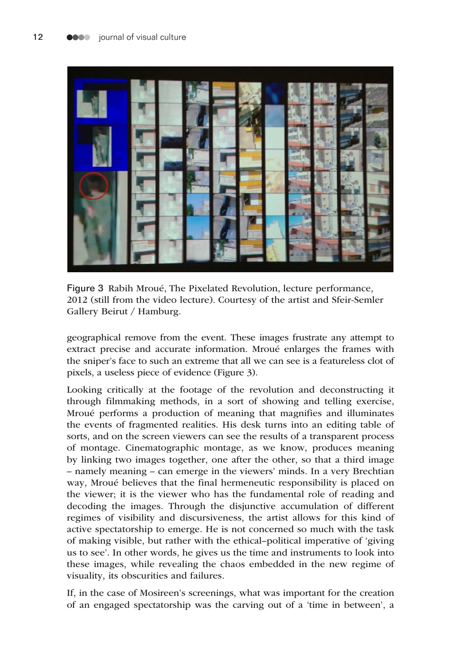

Figure 3 Rabih Mroué, The Pixelated Revolution, lecture performance, 2012 (still from the video lecture). Courtesy of the artist and Sfeir-Semler Gallery Beirut / Hamburg.

geographical remove from the event. These images frustrate any attempt to extract precise and accurate information. Mroué enlarges the frames with the sniper's face to such an extreme that all we can see is a featureless clot of pixels, a useless piece of evidence (Figure 3).

Looking critically at the footage of the revolution and deconstructing it through filmmaking methods, in a sort of showing and telling exercise, Mroué performs a production of meaning that magnifies and illuminates the events of fragmented realities. His desk turns into an editing table of sorts, and on the screen viewers can see the results of a transparent process of montage. Cinematographic montage, as we know, produces meaning by linking two images together, one after the other, so that a third image – namely meaning – can emerge in the viewers' minds. In a very Brechtian way, Mroué believes that the final hermeneutic responsibility is placed on the viewer; it is the viewer who has the fundamental role of reading and decoding the images. Through the disjunctive accumulation of different regimes of visibility and discursiveness, the artist allows for this kind of active spectatorship to emerge. He is not concerned so much with the task of making visible, but rather with the ethical–political imperative of 'giving us to see'. In other words, he gives us the time and instruments to look into these images, while revealing the chaos embedded in the new regime of visuality, its obscurities and failures.

If, in the case of Mosireen's screenings, what was important for the creation of an engaged spectatorship was the carving out of a 'time in between', a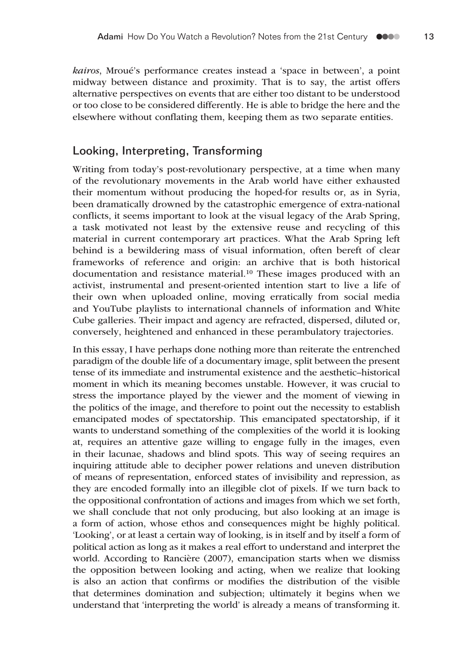*kairos*, Mroué's performance creates instead a 'space in between', a point midway between distance and proximity. That is to say, the artist offers alternative perspectives on events that are either too distant to be understood or too close to be considered differently. He is able to bridge the here and the elsewhere without conflating them, keeping them as two separate entities.

## Looking, Interpreting, Transforming

Writing from today's post-revolutionary perspective, at a time when many of the revolutionary movements in the Arab world have either exhausted their momentum without producing the hoped-for results or, as in Syria, been dramatically drowned by the catastrophic emergence of extra-national conflicts, it seems important to look at the visual legacy of the Arab Spring, a task motivated not least by the extensive reuse and recycling of this material in current contemporary art practices. What the Arab Spring left behind is a bewildering mass of visual information, often bereft of clear frameworks of reference and origin: an archive that is both historical documentation and resistance material.<sup>10</sup> These images produced with an activist, instrumental and present-oriented intention start to live a life of their own when uploaded online, moving erratically from social media and YouTube playlists to international channels of information and White Cube galleries. Their impact and agency are refracted, dispersed, diluted or, conversely, heightened and enhanced in these perambulatory trajectories.

In this essay, I have perhaps done nothing more than reiterate the entrenched paradigm of the double life of a documentary image, split between the present tense of its immediate and instrumental existence and the aesthetic–historical moment in which its meaning becomes unstable. However, it was crucial to stress the importance played by the viewer and the moment of viewing in the politics of the image, and therefore to point out the necessity to establish emancipated modes of spectatorship. This emancipated spectatorship, if it wants to understand something of the complexities of the world it is looking at, requires an attentive gaze willing to engage fully in the images, even in their lacunae, shadows and blind spots. This way of seeing requires an inquiring attitude able to decipher power relations and uneven distribution of means of representation, enforced states of invisibility and repression, as they are encoded formally into an illegible clot of pixels. If we turn back to the oppositional confrontation of actions and images from which we set forth, we shall conclude that not only producing, but also looking at an image is a form of action, whose ethos and consequences might be highly political. 'Looking', or at least a certain way of looking, is in itself and by itself a form of political action as long as it makes a real effort to understand and interpret the world. According to Rancière (2007), emancipation starts when we dismiss the opposition between looking and acting, when we realize that looking is also an action that confirms or modifies the distribution of the visible that determines domination and subjection; ultimately it begins when we understand that 'interpreting the world' is already a means of transforming it.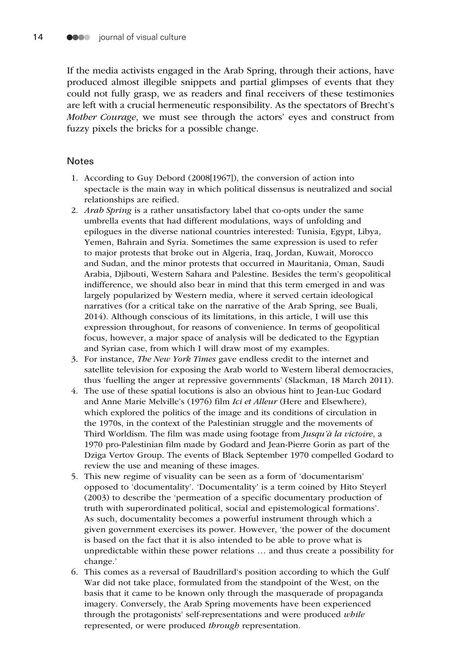If the media activists engaged in the Arab Spring, through their actions, have produced almost illegible snippets and partial glimpses of events that they could not fully grasp, we as readers and final receivers of these testimonies are left with a crucial hermeneutic responsibility. As the spectators of Brecht's *Mother Courage*, we must see through the actors' eyes and construct from fuzzy pixels the bricks for a possible change.

#### **Notes**

- 1. According to Guy Debord (2008[1967]), the conversion of action into spectacle is the main way in which political dissensus is neutralized and social relationships are reified.
- 2. *Arab Spring* is a rather unsatisfactory label that co-opts under the same umbrella events that had different modulations, ways of unfolding and epilogues in the diverse national countries interested: Tunisia, Egypt, Libya, Yemen, Bahrain and Syria. Sometimes the same expression is used to refer to major protests that broke out in Algeria, Iraq, Jordan, Kuwait, Morocco and Sudan, and the minor protests that occurred in Mauritania, Oman, Saudi Arabia, Djibouti, Western Sahara and Palestine. Besides the term's geopolitical indifference, we should also bear in mind that this term emerged in and was largely popularized by Western media, where it served certain ideological narratives (for a critical take on the narrative of the Arab Spring, see Buali, 2014). Although conscious of its limitations, in this article, I will use this expression throughout, for reasons of convenience. In terms of geopolitical focus, however, a major space of analysis will be dedicated to the Egyptian and Syrian case, from which I will draw most of my examples.
- 3. For instance, *The New York Times* gave endless credit to the internet and satellite television for exposing the Arab world to Western liberal democracies, thus 'fuelling the anger at repressive governments' (Slackman, 18 March 2011).
- 4. The use of these spatial locutions is also an obvious hint to Jean-Luc Godard and Anne Marie Melville's (1976) film *Ici et Alleur* (Here and Elsewhere), which explored the politics of the image and its conditions of circulation in the 1970s, in the context of the Palestinian struggle and the movements of Third Worldism. The film was made using footage from *Jusqu'à la victoire*, a 1970 pro-Palestinian film made by Godard and Jean-Pierre Gorin as part of the Dziga Vertov Group. The events of Black September 1970 compelled Godard to review the use and meaning of these images.
- 5. This new regime of visuality can be seen as a form of 'documentarism' opposed to 'documentality'. 'Documentality' is a term coined by Hito Steyerl (2003) to describe the 'permeation of a specific documentary production of truth with superordinated political, social and epistemological formations'. As such, documentality becomes a powerful instrument through which a given government exercises its power. However, 'the power of the document is based on the fact that it is also intended to be able to prove what is unpredictable within these power relations … and thus create a possibility for change.'
- 6. This comes as a reversal of Baudrillard's position according to which the Gulf War did not take place, formulated from the standpoint of the West, on the basis that it came to be known only through the masquerade of propaganda imagery. Conversely, the Arab Spring movements have been experienced through the protagonists' self-representations and were produced *while* represented, or were produced *through* representation.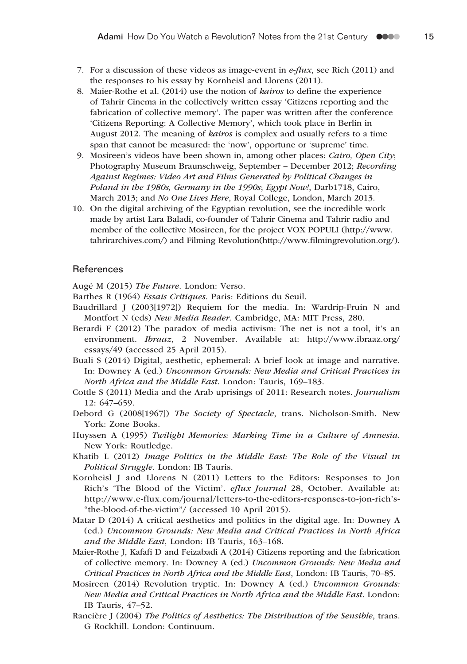- 7. For a discussion of these videos as image-event in *e-flux*, see Rich (2011) and the responses to his essay by Kornheisl and Llorens (2011).
- 8. Maier-Rothe et al. (2014) use the notion of *kairos* to define the experience of Tahrir Cinema in the collectively written essay 'Citizens reporting and the fabrication of collective memory'. The paper was written after the conference 'Citizens Reporting: A Collective Memory', which took place in Berlin in August 2012. The meaning of *kairos* is complex and usually refers to a time span that cannot be measured: the 'now', opportune or 'supreme' time.
- 9. Mosireen's videos have been shown in, among other places: *Cairo, Open City*; Photography Museum Braunschweig, September – December 2012; *Recording Against Regimes: Video Art and Films Generated by Political Changes in Poland in the 1980s, Germany in the 1990s*; *Egypt Now!*, Darb1718, Cairo, March 2013; and *No One Lives Here*, Royal College, London, March 2013.
- 10. On the digital archiving of the Egyptian revolution, see the incredible work made by artist Lara Baladi, co-founder of Tahrir Cinema and Tahrir radio and member of the collective Mosireen, for the project VOX POPULI ([http://www.](mailto:elyadami@gmail.com) [tahrirarchives.com/](mailto:elyadami@gmail.com)) and Filming Revolution(<http://www.filmingrevolution.org/>).

#### References

Augé M (2015) *The Future*. London: Verso.

- Barthes R (1964) *Essais Critiques*. Paris: Editions du Seuil.
- Baudrillard J (2003[1972]) Requiem for the media. In: Wardrip-Fruin N and Montfort N (eds) *New Media Reader*. Cambridge, MA: MIT Press, 280.
- Berardi F (2012) The paradox of media activism: The net is not a tool, it's an environment. *Ibraaz*, 2 November. Available at: [http://www.ibraaz.org/](http://www.ibraaz.org/essays/49) [essays/49](http://www.ibraaz.org/essays/49) (accessed 25 April 2015).
- Buali S (2014) Digital, aesthetic, ephemeral: A brief look at image and narrative. In: Downey A (ed.) *Uncommon Grounds: New Media and Critical Practices in North Africa and the Middle East*. London: Tauris, 169–183.
- Cottle S (2011) Media and the Arab uprisings of 2011: Research notes. *Journalism* 12: 647–659.
- Debord G (2008[1967]) *The Society of Spectacle*, trans. Nicholson-Smith. New York: Zone Books.
- Huyssen A (1995) *Twilight Memories: Marking Time in a Culture of Amnesia*. New York: Routledge.
- Khatib L (2012) *Image Politics in the Middle East: The Role of the Visual in Political Struggle*. London: IB Tauris.
- Kornheisl J and Llorens N (2011) Letters to the Editors: Responses to Jon Rich's 'The Blood of the Victim'. *eflux Journal* 28, October. Available at: [http://www.e-flux.com/journal/letters-to-the-editors-responses-to-jon-rich'](http://www.e-flux.com/journal/letters-to-the-editors-responses-to-jon-rich)s- "the-blood-of-the-victim"/ (accessed 10 April 2015).
- Matar D (2014) A critical aesthetics and politics in the digital age. In: Downey A (ed.) *Uncommon Grounds: New Media and Critical Practices in North Africa and the Middle East*, London: IB Tauris, 163–168.
- Maier-Rothe J, Kafafi D and Feizabadi A (2014) Citizens reporting and the fabrication of collective memory. In: Downey A (ed.) *Uncommon Grounds: New Media and Critical Practices in North Africa and the Middle East*, London: IB Tauris, 70–85.
- Mosireen (2014) Revolution tryptic. In: Downey A (ed.) *Uncommon Grounds: New Media and Critical Practices in North Africa and the Middle East*. London: IB Tauris, 47–52.
- Rancière J (2004) *The Politics of Aesthetics: The Distribution of the Sensible*, trans. G Rockhill. London: Continuum.